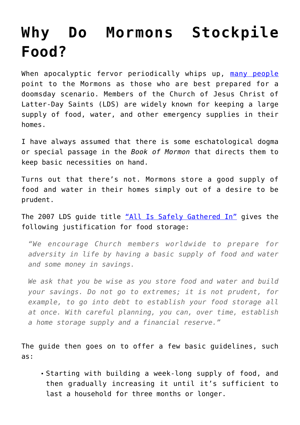## **[Why Do Mormons Stockpile](https://intellectualtakeout.org/2018/01/why-do-mormons-stockpile-food/) [Food?](https://intellectualtakeout.org/2018/01/why-do-mormons-stockpile-food/)**

When apocalyptic fervor periodically whips up, [many people](https://www.deseretnews.com/article/865640307/Ted-Koppel-points-to-LDS-Churchs-preparedness-in-book-Lights-Out.html) point to the Mormons as those who are best prepared for a doomsday scenario. Members of the Church of Jesus Christ of Latter-Day Saints (LDS) are widely known for keeping a large supply of food, water, and other emergency supplies in their homes.

I have always assumed that there is some eschatological dogma or special passage in the *Book of Mormon* that directs them to keep basic necessities on hand.

Turns out that there's not. Mormons store a good supply of food and water in their homes simply out of a desire to be prudent.

The 2007 LDS guide title ["All Is Safely Gathered In"](https://www.lds.org/bc/content/shared/content/english/pdf/language-materials/04008_eng.pdf) gives the following justification for food storage:

*"We encourage Church members worldwide to prepare for adversity in life by having a basic supply of food and water and some money in savings.*

*We ask that you be wise as you store food and water and build your savings. Do not go to extremes; it is not prudent, for example, to go into debt to establish your food storage all at once. With careful planning, you can, over time, establish a home storage supply and a financial reserve."*

The guide then goes on to offer a few basic guidelines, such as:

Starting with building a week-long supply of food, and then gradually increasing it until it's sufficient to last a household for three months or longer.